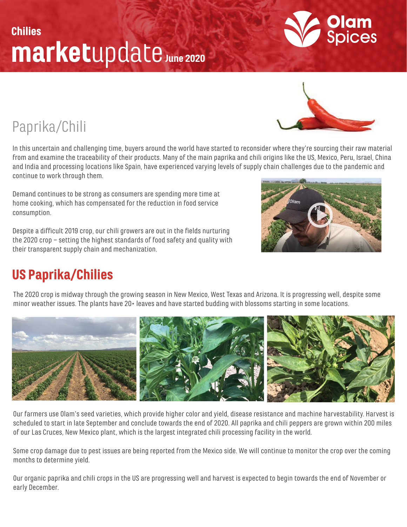# marketupdate June 2020 Chilies

Paprika/Chili

In this uncertain and challenging time, buyers around the world have started to reconsider where they're sourcing their raw material from and examine the traceability of their products. Many of the main paprika and chili origins like the US, Mexico, Peru, Israel, China and India and processing locations like Spain, have experienced varying levels of supply chain challenges due to the pandemic and continue to work through them.

Demand continues to be strong as consumers are spending more time at home cooking, which has compensated for the reduction in food service consumption.

Despite a difficult 2019 crop, our chili growers are out in the fields nurturing the 2020 crop – setting the highest standards of food safety and quality with their transparent supply chain and mechanization.

### US Paprika/Chilies

The 2020 crop is midway through the growing season in New Mexico, West Texas and Arizona. It is progressing well, despite some minor weather issues. The plants have 20+ leaves and have started budding with blossoms starting in some locations.

Our farmers use Olam's seed varieties, which provide higher color and yield, disease resistance and machine harvestability. Harvest is scheduled to start in late September and conclude towards the end of 2020. All paprika and chili peppers are grown within 200 miles of our Las Cruces, New Mexico plant, which is the largest integrated chili processing facility in the world.

Some crop damage due to pest issues are being reported from the Mexico side. We will continue to monitor the crop over the coming months to determine yield.

Our organic paprika and chili crops in the US are progressing well and harvest is expected to begin towards the end of November or early December.